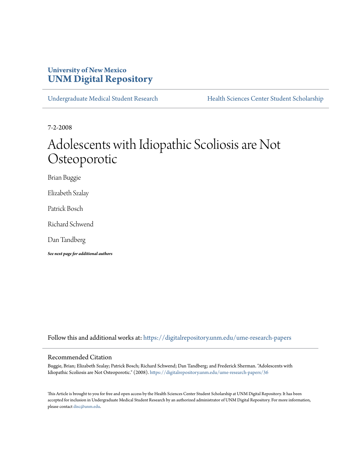# **University of New Mexico [UNM Digital Repository](https://digitalrepository.unm.edu?utm_source=digitalrepository.unm.edu%2Fume-research-papers%2F36&utm_medium=PDF&utm_campaign=PDFCoverPages)**

[Undergraduate Medical Student Research](https://digitalrepository.unm.edu/ume-research-papers?utm_source=digitalrepository.unm.edu%2Fume-research-papers%2F36&utm_medium=PDF&utm_campaign=PDFCoverPages) [Health Sciences Center Student Scholarship](https://digitalrepository.unm.edu/hsc-students?utm_source=digitalrepository.unm.edu%2Fume-research-papers%2F36&utm_medium=PDF&utm_campaign=PDFCoverPages)

7-2-2008

# Adolescents with Idiopathic Scoliosis are Not Osteoporotic

Brian Buggie

Elizabeth Szalay

Patrick Bosch

Richard Schwend

Dan Tandberg

*See next page for additional authors*

Follow this and additional works at: [https://digitalrepository.unm.edu/ume-research-papers](https://digitalrepository.unm.edu/ume-research-papers?utm_source=digitalrepository.unm.edu%2Fume-research-papers%2F36&utm_medium=PDF&utm_campaign=PDFCoverPages)

#### Recommended Citation

Buggie, Brian; Elizabeth Szalay; Patrick Bosch; Richard Schwend; Dan Tandberg; and Frederick Sherman. "Adolescents with Idiopathic Scoliosis are Not Osteoporotic." (2008). [https://digitalrepository.unm.edu/ume-research-papers/36](https://digitalrepository.unm.edu/ume-research-papers/36?utm_source=digitalrepository.unm.edu%2Fume-research-papers%2F36&utm_medium=PDF&utm_campaign=PDFCoverPages)

This Article is brought to you for free and open access by the Health Sciences Center Student Scholarship at UNM Digital Repository. It has been accepted for inclusion in Undergraduate Medical Student Research by an authorized administrator of UNM Digital Repository. For more information, please contact [disc@unm.edu.](mailto:disc@unm.edu)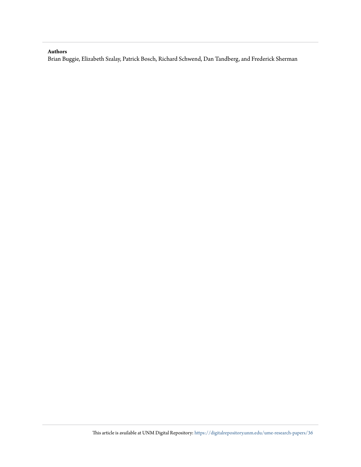#### **Authors**

Brian Buggie, Elizabeth Szalay, Patrick Bosch, Richard Schwend, Dan Tandberg, and Frederick Sherman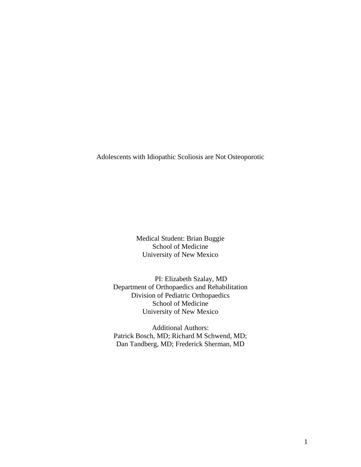Adolescents with Idiopathic Scoliosis are Not Osteoporotic

Medical Student: Brian Buggie School of Medicine University of New Mexico

PI: Elizabeth Szalay, MD Department of Orthopaedics and Rehabilitation Division of Pediatric Orthopaedics School of Medicine University of New Mexico

Additional Authors: Patrick Bosch, MD; Richard M Schwend, MD; Dan Tandberg, MD; Frederick Sherman, MD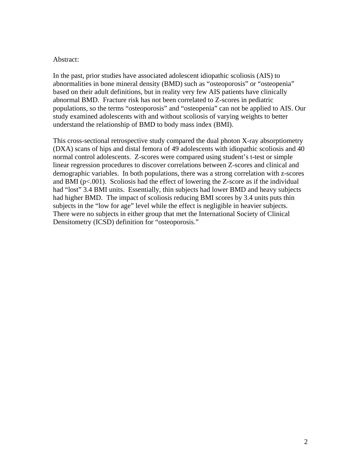#### Abstract:

In the past, prior studies have associated adolescent idiopathic scoliosis (AIS) to abnormalities in bone mineral density (BMD) such as "osteoporosis" or "osteopenia" based on their adult definitions, but in reality very few AIS patients have clinically abnormal BMD. Fracture risk has not been correlated to Z-scores in pediatric populations, so the terms "osteoporosis" and "osteopenia" can not be applied to AIS. Our study examined adolescents with and without scoliosis of varying weights to better understand the relationship of BMD to body mass index (BMI).

This cross-sectional retrospective study compared the dual photon X-ray absorptiometry (DXA) scans of hips and distal femora of 49 adolescents with idiopathic scoliosis and 40 normal control adolescents. Z-scores were compared using student's t-test or simple linear regression procedures to discover correlations between Z-scores and clinical and demographic variables. In both populations, there was a strong correlation with z-scores and BMI ( $p<001$ ). Scoliosis had the effect of lowering the Z-score as if the individual had "lost" 3.4 BMI units. Essentially, thin subjects had lower BMD and heavy subjects had higher BMD. The impact of scoliosis reducing BMI scores by 3.4 units puts thin subjects in the "low for age" level while the effect is negligible in heavier subjects. There were no subjects in either group that met the International Society of Clinical Densitometry (ICSD) definition for "osteoporosis."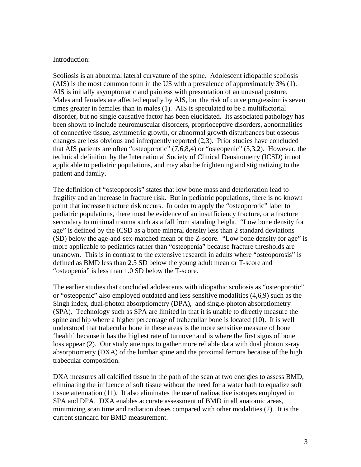#### Introduction:

Scoliosis is an abnormal lateral curvature of the spine. Adolescent idiopathic scoliosis (AIS) is the most common form in the US with a prevalence of approximately 3% (1). AIS is initially asymptomatic and painless with presentation of an unusual posture. Males and females are affected equally by AIS, but the risk of curve progression is seven times greater in females than in males (1). AIS is speculated to be a multifactorial disorder, but no single causative factor has been elucidated. Its associated pathology has been shown to include neuromuscular disorders, proprioceptive disorders, abnormalities of connective tissue, asymmetric growth, or abnormal growth disturbances but osseous changes are less obvious and infrequently reported (2,3). Prior studies have concluded that AIS patients are often "osteoporotic" (7,6,8,4) or "osteopenic" (5,3,2). However, the technical definition by the International Society of Clinical Densitometry (ICSD) in not applicable to pediatric populations, and may also be frightening and stigmatizing to the patient and family.

The definition of "osteoporosis" states that low bone mass and deterioration lead to fragility and an increase in fracture risk. But in pediatric populations, there is no known point that increase fracture risk occurs. In order to apply the "osteoporotic" label to pediatric populations, there must be evidence of an insufficiency fracture, or a fracture secondary to minimal trauma such as a fall from standing height. "Low bone density for age" is defined by the ICSD as a bone mineral density less than 2 standard deviations (SD) below the age-and-sex-matched mean or the Z-score. "Low bone density for age" is more applicable to pediatrics rather than "osteopenia" because fracture thresholds are unknown. This is in contrast to the extensive research in adults where "osteoporosis" is defined as BMD less than 2.5 SD below the young adult mean or T-score and "osteopenia" is less than 1.0 SD below the T-score.

The earlier studies that concluded adolescents with idiopathic scoliosis as "osteoporotic" or "osteopenic" also employed outdated and less sensitive modalities (4,6,9) such as the Singh index, dual-photon absorptiometry (DPA), and single-photon absorptiometry (SPA). Technology such as SPA are limited in that it is unable to directly measure the spine and hip where a higher percentage of trabecullar bone is located (10). It is well understood that trabecular bone in these areas is the more sensitive measure of bone 'health' because it has the highest rate of turnover and is where the first signs of bone loss appear (2). Our study attempts to gather more reliable data with dual photon x-ray absorptiometry (DXA) of the lumbar spine and the proximal femora because of the high trabecular composition.

DXA measures all calcified tissue in the path of the scan at two energies to assess BMD, eliminating the influence of soft tissue without the need for a water bath to equalize soft tissue attenuation (11). It also eliminates the use of radioactive isotopes employed in SPA and DPA. DXA enables accurate assessment of BMD in all anatomic areas, minimizing scan time and radiation doses compared with other modalities (2). It is the current standard for BMD measurement.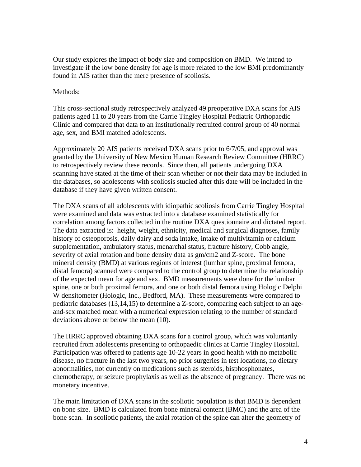Our study explores the impact of body size and composition on BMD. We intend to investigate if the low bone density for age is more related to the low BMI predominantly found in AIS rather than the mere presence of scoliosis.

### Methods:

This cross-sectional study retrospectively analyzed 49 preoperative DXA scans for AIS patients aged 11 to 20 years from the Carrie Tingley Hospital Pediatric Orthopaedic Clinic and compared that data to an institutionally recruited control group of 40 normal age, sex, and BMI matched adolescents.

Approximately 20 AIS patients received DXA scans prior to 6/7/05, and approval was granted by the University of New Mexico Human Research Review Committee (HRRC) to retrospectively review these records. Since then, all patients undergoing DXA scanning have stated at the time of their scan whether or not their data may be included in the databases, so adolescents with scoliosis studied after this date will be included in the database if they have given written consent.

The DXA scans of all adolescents with idiopathic scoliosis from Carrie Tingley Hospital were examined and data was extracted into a database examined statistically for correlation among factors collected in the routine DXA questionnaire and dictated report. The data extracted is: height, weight, ethnicity, medical and surgical diagnoses, family history of osteoporosis, daily dairy and soda intake, intake of multivitamin or calcium supplementation, ambulatory status, menarchal status, fracture history, Cobb angle, severity of axial rotation and bone density data as gm/cm2 and Z-score. The bone mineral density (BMD) at various regions of interest (lumbar spine, proximal femora, distal femora) scanned were compared to the control group to determine the relationship of the expected mean for age and sex. BMD measurements were done for the lumbar spine, one or both proximal femora, and one or both distal femora using Hologic Delphi W densitometer (Hologic, Inc., Bedford, MA). These measurements were compared to pediatric databases (13,14,15) to determine a Z-score, comparing each subject to an ageand-sex matched mean with a numerical expression relating to the number of standard deviations above or below the mean (10).

The HRRC approved obtaining DXA scans for a control group, which was voluntarily recruited from adolescents presenting to orthopaedic clinics at Carrie Tingley Hospital. Participation was offered to patients age 10-22 years in good health with no metabolic disease, no fracture in the last two years, no prior surgeries in test locations, no dietary abnormalities, not currently on medications such as steroids, bisphosphonates, chemotherapy, or seizure prophylaxis as well as the absence of pregnancy. There was no monetary incentive.

The main limitation of DXA scans in the scoliotic population is that BMD is dependent on bone size. BMD is calculated from bone mineral content (BMC) and the area of the bone scan. In scoliotic patients, the axial rotation of the spine can alter the geometry of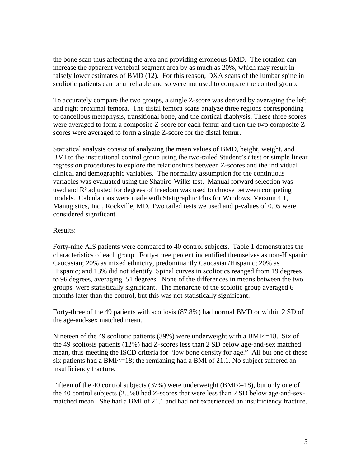the bone scan thus affecting the area and providing erroneous BMD. The rotation can increase the apparent vertebral segment area by as much as 20%, which may result in falsely lower estimates of BMD (12). For this reason, DXA scans of the lumbar spine in scoliotic patients can be unreliable and so were not used to compare the control group.

To accurately compare the two groups, a single Z-score was derived by averaging the left and right proximal femora. The distal femora scans analyze three regions corresponding to cancellous metaphysis, transitional bone, and the cortical diaphysis. These three scores were averaged to form a composite Z-score for each femur and then the two composite Zscores were averaged to form a single Z-score for the distal femur.

Statistical analysis consist of analyzing the mean values of BMD, height, weight, and BMI to the institutional control group using the two-tailed Student's *t* test or simple linear regression procedures to explore the relationships between Z-scores and the individual clinical and demographic variables. The normality assumption for the continuous variables was evaluated using the Shapiro-Wilks test. Manual forward selection was used and R² adjusted for degrees of freedom was used to choose between competing models. Calculations were made with Statigraphic Plus for Windows, Version 4.1, Manugistics, Inc., Rockville, MD. Two tailed tests we used and p-values of 0.05 were considered significant.

## Results:

Forty-nine AIS patients were compared to 40 control subjects. Table 1 demonstrates the characteristics of each group. Forty-three percent indentified themselves as non-Hispanic Caucasian; 20% as mixed ethnicity, predominantly Caucasian/Hispanic; 20% as Hispanic; and 13% did not identify. Spinal curves in scoliotics reanged from 19 degrees to 96 degrees, averaging 51 degrees. None of the differences in means between the two groups were statistically significant. The menarche of the scolotic group averaged 6 months later than the control, but this was not statistically significant.

Forty-three of the 49 patients with scoliosis (87.8%) had normal BMD or within 2 SD of the age-and-sex matched mean.

Nineteen of the 49 scoliotic patients  $(39%)$  were underweight with a BMI $\leq$ =18. Six of the 49 scoliosis patients (12%) had Z-scores less than 2 SD below age-and-sex matched mean, thus meeting the ISCD criteria for "low bone density for age." All but one of these six patients had a BMI<=18; the remianing had a BMI of 21.1. No subject suffered an insufficiency fracture.

Fifteen of the 40 control subjects (37%) were underweight (BMI<=18), but only one of the 40 control subjects (2.5%0 had Z-scores that were less than 2 SD below age-and-sexmatched mean. She had a BMI of 21.1 and had not experienced an insufficiency fracture.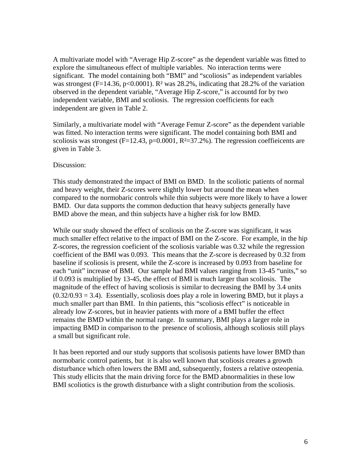A multivariate model with "Average Hip Z-score" as the dependent variable was fitted to explore the simultaneous effect of multiple variables. No interaction terms were significant. The model containing both "BMI" and "scoliosis" as independent variables was strongest (F=14.36, p<0.0001). R<sup>2</sup> was 28.2%, indicating that 28.2% of the variation observed in the dependent variable, "Average Hip Z-score," is accountd for by two independent variable, BMI and scoliosis. The regression coefficients for each independent are given in Table 2.

Similarly, a multivariate model with "Average Femur Z-score" as the dependent variable was fitted. No interaction terms were significant. The model containing both BMI and scoliosis was strongest ( $F=12.43$ ,  $p=0.0001$ ,  $R<sup>2</sup>=37.2%$ ). The regression coeffieicents are given in Table 3.

#### Discussion:

This study demonstrated the impact of BMI on BMD. In the scoliotic patients of normal and heavy weight, their Z-scores were slightly lower but around the mean when compared to the normobaric controls while thin subjects were more likely to have a lower BMD. Our data supports the common deduction that heavy subjects generally have BMD above the mean, and thin subjects have a higher risk for low BMD.

While our study showed the effect of scoliosis on the Z-score was significant, it was much smaller effect relative to the impact of BMI on the Z-score. For example, in the hip Z-scores, the regression coeficient of the scoliosis variable was 0.32 while the regression coefficient of the BMI was 0.093. This means that the Z-score is decreased by 0.32 from baseline if scoliosis is present, while the Z-score is increased by 0.093 from baseline for each "unit" increase of BMI. Our sample had BMI values ranging from 13-45 "units," so if 0.093 is multiplied by 13-45, the effect of BMI is much larger than scoliosis. The magnitude of the effect of having scoliosis is similar to decreasing the BMI by 3.4 units  $(0.32/0.93 = 3.4)$ . Essentially, scoliosis does play a role in lowering BMD, but it plays a much smaller part than BMI. In thin patients, this "scoliosis effect" is noticeable in already low Z-scores, but in heavier patients with more of a BMI buffer the effect remains the BMD within the normal range. In summary, BMI plays a larger role in impacting BMD in comparison to the presence of scoliosis, although scoliosis still plays a small but significant role.

It has been reported and our study supports that scolisosis patients have lower BMD than normobaric control patients, but it is also well known that scoliosis creates a growth disturbance which often lowers the BMI and, subsequently, fosters a relative osteopenia. This study ellicits that the main driving force for the BMD abnormalities in these low BMI scoliotics is the growth disturbance with a slight contribution from the scoliosis.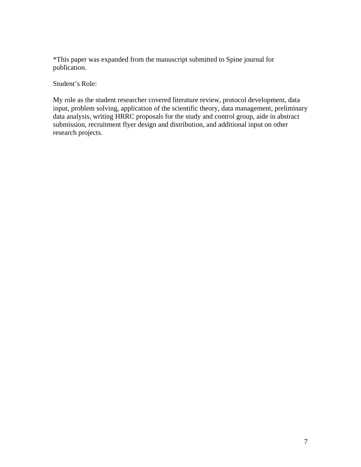\*This paper was expanded from the manuscript submitted to Spine journal for publication.

Student's Role:

My role as the student researcher covered literature review, protocol development, data input, problem solving, application of the scientific theory, data management, preliminary data analysis, writing HRRC proposals for the study and control group, aide in abstract submission, recruitment flyer design and distribution, and additional input on other research projects.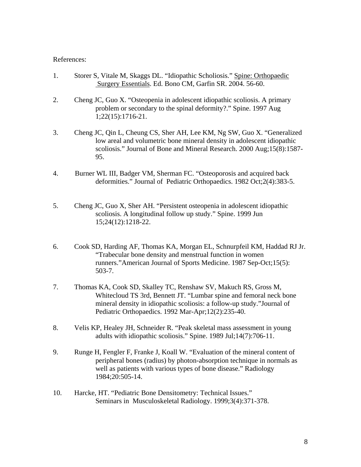#### References:

- 1. Storer S, Vitale M, Skaggs DL. "Idiopathic Scholiosis." Spine: Orthopaedic Surgery Essentials. Ed. Bono CM, Garfin SR. 2004. 56-60.
- 2. Cheng JC, Guo X. "Osteopenia in adolescent idiopathic scoliosis. A primary problem or secondary to the spinal deformity?." Spine. 1997 Aug 1;22(15):1716-21.
- 3. Cheng JC, Qin L, Cheung CS, Sher AH, Lee KM, Ng SW, Guo X. "Generalized low areal and volumetric bone mineral density in adolescent idiopathic scoliosis." Journal of Bone and Mineral Research. 2000 Aug;15(8):1587- 95.
- 4. Burner WL III, Badger VM, Sherman FC. "Osteoporosis and acquired back deformities." Journal of Pediatric Orthopaedics. 1982 Oct;2(4):383-5.
- 5. Cheng JC, Guo X, Sher AH. "Persistent osteopenia in adolescent idiopathic scoliosis. A longitudinal follow up study." Spine. 1999 Jun 15;24(12):1218-22.
- 6. Cook SD, Harding AF, Thomas KA, Morgan EL, Schnurpfeil KM, Haddad RJ Jr. "Trabecular bone density and menstrual function in women runners."American Journal of Sports Medicine. 1987 Sep-Oct;15(5): 503-7.
- 7. Thomas KA, Cook SD, Skalley TC, Renshaw SV, Makuch RS, Gross M, Whitecloud TS 3rd, Bennett JT. "Lumbar spine and femoral neck bone mineral density in idiopathic scoliosis: a follow-up study."Journal of Pediatric Orthopaedics. 1992 Mar-Apr;12(2):235-40.
- 8. Velis KP, Healey JH, Schneider R. "Peak skeletal mass assessment in young adults with idiopathic scoliosis." Spine. 1989 Jul;14(7):706-11.
- 9. Runge H, Fengler F, Franke J, Koall W. "Evaluation of the mineral content of peripheral bones (radius) by photon-absorption technique in normals as well as patients with various types of bone disease." Radiology 1984;20:505-14.
- 10. Harcke, HT. "Pediatric Bone Densitometry: Technical Issues." Seminars in Musculoskeletal Radiology. 1999;3(4):371-378.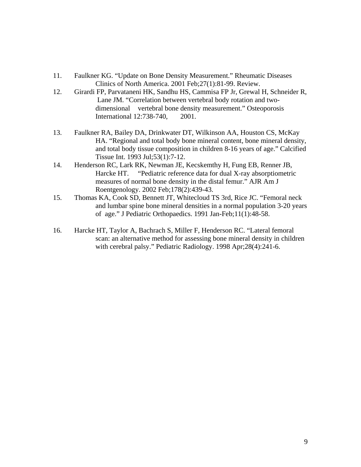- 11. Faulkner KG. "Update on Bone Density Measurement." Rheumatic Diseases Clinics of North America. 2001 Feb;27(1):81-99. Review.
- 12. Girardi FP, [Parvataneni HK,](http://www.ncbi.nlm.nih.gov/entrez/query.fcgi?db=pubmed&cmd=Search&itool=pubmed_Abstract&term=%22Parvataneni+HK%22%5BAuthor%5D) Sandhu HS, [Cammisa FP Jr,](http://www.ncbi.nlm.nih.gov/entrez/query.fcgi?db=pubmed&cmd=Search&itool=pubmed_Abstract&term=%22Cammisa+FP+Jr%22%5BAuthor%5D) [Grewal H,](http://www.ncbi.nlm.nih.gov/entrez/query.fcgi?db=pubmed&cmd=Search&itool=pubmed_Abstract&term=%22Grewal+H%22%5BAuthor%5D) [Schneider R,](http://www.ncbi.nlm.nih.gov/entrez/query.fcgi?db=pubmed&cmd=Search&itool=pubmed_Abstract&term=%22Schneider+R%22%5BAuthor%5D) [Lane JM](http://www.ncbi.nlm.nih.gov/entrez/query.fcgi?db=pubmed&cmd=Search&itool=pubmed_Abstract&term=%22Lane+JM%22%5BAuthor%5D). "Correlation between vertebral body rotation and two dimensional vertebral bone density measurement." Osteoporosis International 12:738-740, 2001.
- 13. Faulkner RA, Bailey DA, Drinkwater DT, Wilkinson AA, Houston CS, McKay HA. "Regional and total body bone mineral content, bone mineral density, and total body tissue composition in children 8-16 years of age." Calcified Tissue Int. 1993 Jul;53(1):7-12.
- 14. Henderson RC, Lark RK, Newman JE, Kecskemthy H, Fung EB, Renner JB, Harcke HT. "Pediatric reference data for dual X-ray absorptiometric measures of normal bone density in the distal femur." AJR Am J Roentgenology. 2002 Feb;178(2):439-43.
- 15. Thomas KA, Cook SD, Bennett JT, Whitecloud TS 3rd, Rice JC. "Femoral neck and lumbar spine bone mineral densities in a normal population 3-20 years of age." J Pediatric Orthopaedics. 1991 Jan-Feb;11(1):48-58.
- 16. Harcke HT, Taylor A, Bachrach S, Miller F, Henderson RC. "Lateral femoral scan: an alternative method for assessing bone mineral density in children with cerebral palsy." Pediatric Radiology. 1998 Apr;28(4):241-6.